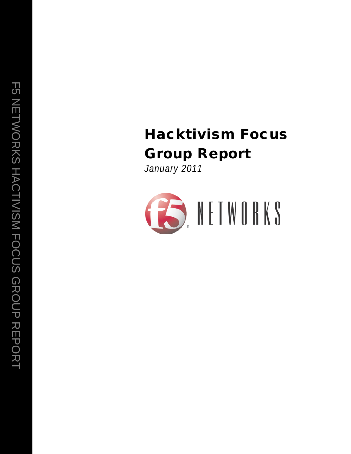# Hacktivism Focus Group Report

*January 2011*

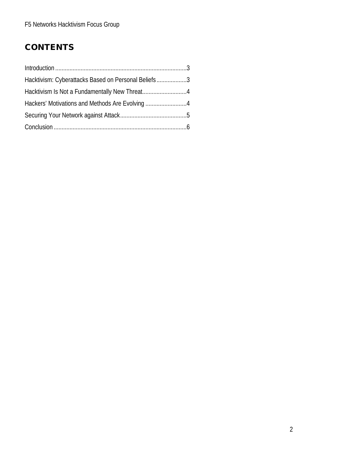# **CONTENTS**

| Hacktivism: Cyberattacks Based on Personal Beliefs3 |  |
|-----------------------------------------------------|--|
|                                                     |  |
|                                                     |  |
|                                                     |  |
|                                                     |  |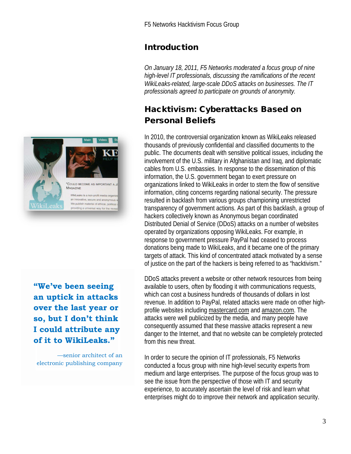### Introduction

*On January 18, 2011, F5 Networks moderated a focus group of nine high-level IT professionals, discussing the ramifications of the recent WikiLeaks-related, large-scale DDoS attacks on businesses. The IT professionals agreed to participate on grounds of anonymity.*

### Hacktivism: Cyberattacks Based on Personal Beliefs

In 2010, the controversial organization known as WikiLeaks released thousands of previously confidential and classified documents to the public. The documents dealt with sensitive political issues, including the involvement of the U.S. military in Afghanistan and Iraq, and diplomatic cables from U.S. embassies. In response to the dissemination of this information, the U.S. government began to exert pressure on organizations linked to WikiLeaks in order to stem the flow of sensitive information, citing concerns regarding national security. The pressure resulted in backlash from various groups championing unrestricted transparency of government actions. As part of this backlash, a group of hackers collectively known as Anonymous began coordinated Distributed Denial of Service (DDoS) attacks on a number of websites operated by organizations opposing WikiLeaks. For example, in response to government pressure PayPal had ceased to process donations being made to WikiLeaks, and it became one of the primary targets of attack. This kind of concentrated attack motivated by a sense of justice on the part of the hackers is being referred to as "hacktivism."

DDoS attacks prevent a website or other network resources from being available to users, often by flooding it with communications requests, which can cost a business hundreds of thousands of dollars in lost revenue. In addition to PayPal, related attacks were made on other highprofile websites including mastercard.com and amazon.com. The attacks were well publicized by the media, and many people have consequently assumed that these massive attacks represent a new danger to the Internet, and that no website can be completely protected from this new threat.

In order to secure the opinion of IT professionals, F5 Networks conducted a focus group with nine high-level security experts from medium and large enterprises. The purpose of the focus group was to see the issue from the perspective of those with IT and security experience, to accurately ascertain the level of risk and learn what enterprises might do to improve their network and application security.



**"We've been seeing an uptick in attacks over the last year or so, but I don't think I could attribute any of it to WikiLeaks."**

—senior architect of an electronic publishing company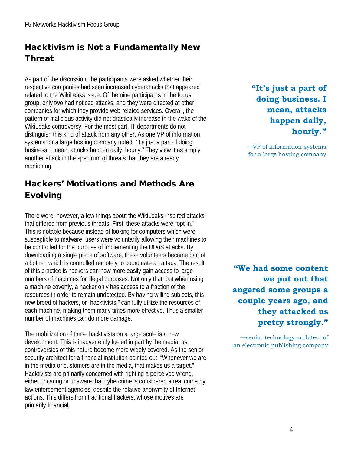## Hacktivism is Not a Fundamentally New Threat

As part of the discussion, the participants were asked whether their respective companies had seen increased cyberattacks that appeared related to the WikiLeaks issue. Of the nine participants in the focus group, only two had noticed attacks, and they were directed at other companies for which they provide web-related services. Overall, the pattern of malicious activity did not drastically increase in the wake of the WikiLeaks controversy. For the most part, IT departments do not distinguish this kind of attack from any other. As one VP of information systems for a large hosting company noted, "It's just a part of doing business. I mean, attacks happen daily, hourly." They view it as simply another attack in the spectrum of threats that they are already monitoring.

## Hackers' Motivations and Methods Are Evolving

There were, however, a few things about the WikiLeaks-inspired attacks that differed from previous threats. First, these attacks were "opt-in." This is notable because instead of looking for computers which were susceptible to malware, users were voluntarily allowing their machines to be controlled for the purpose of implementing the DDoS attacks. By downloading a single piece of software, these volunteers became part of a botnet, which is controlled remotely to coordinate an attack. The result of this practice is hackers can now more easily gain access to large numbers of machines for illegal purposes. Not only that, but when using a machine covertly, a hacker only has access to a fraction of the resources in order to remain undetected. By having willing subjects, this new breed of hackers, or "hacktivists," can fully utilize the resources of each machine, making them many times more effective. Thus a smaller number of machines can do more damage.

The mobilization of these hacktivists on a large scale is a new development. This is inadvertently fueled in part by the media, as controversies of this nature become more widely covered. As the senior security architect for a financial institution pointed out, "Whenever we are in the media or customers are in the media, that makes us a target." Hacktivists are primarily concerned with righting a perceived wrong, either uncaring or unaware that cybercrime is considered a real crime by law enforcement agencies, despite the relative anonymity of Internet actions. This differs from traditional hackers, whose motives are primarily financial.

**"It's just a part of doing business. I mean, attacks happen daily, hourly."**

—VP of information systems for a large hosting company

**"We had some content we put out that angered some groups a couple years ago, and they attacked us pretty strongly."**

—senior technology architect of an electronic publishing company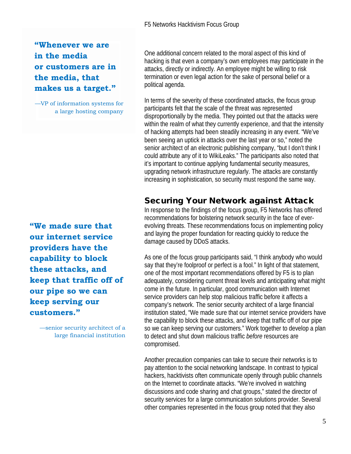#### **"Whenever we are in the media or customers are in the media, that makes us a target."**

—VP of information systems for a large hosting company

**"We made sure that our internet service providers have the capability to block these attacks, and keep that traffic off of our pipe so we can keep serving our customers."**

> —senior security architect of a large financial institution

One additional concern related to the moral aspect of this kind of hacking is that even a company's own employees may participate in the attacks, directly or indirectly. An employee might be willing to risk termination or even legal action for the sake of personal belief or a political agenda.

In terms of the s*e*verity of these coordinated attacks, the focus group participants felt that the scale of the threat was represented disproportionally by the media. They pointed out that the attacks were within the realm of what they currently experience, and that the intensity of hacking attempts had been steadily increasing in any event. "We've been seeing an uptick in attacks over the last year or so," noted the senior architect of an electronic publishing company, "but I don't think I could attribute any of it to WikiLeaks." The participants also noted that it's important to continue applying fundamental security measures, upgrading network infrastructure regularly. The attacks are constantly increasing in sophistication, so security must respond the same way.

#### Securing Your Network against Attack

In response to the findings of the focus group, F5 Networks has offered recommendations for bolstering network security in the face of everevolving threats. These recommendations focus on implementing policy and laying the proper foundation for reacting quickly to reduce the damage caused by DDoS attacks.

As one of the focus group participants said, "I think anybody who would say that they're foolproof or perfect is a fool." In light of that statement, one of the most important recommendations offered by F5 is to plan adequately, considering current threat levels and anticipating what might come in the future. In particular, good communication with Internet service providers can help stop malicious traffic before it affects a company's network. The senior security architect of a large financial institution stated, "We made sure that our internet service providers have the capability to block these attacks, and keep that traffic off of our pipe so we can keep serving our customers." Work together to develop a plan to detect and shut down malicious traffic *before* resources are compromised.

Another precaution companies can take to secure their networks is to pay attention to the social networking landscape. In contrast to typical hackers, hacktivists often communicate openly through public channels on the Internet to coordinate attacks. "We're involved in watching discussions and code sharing and chat groups," stated the director of security services for a large communication solutions provider. Several other companies represented in the focus group noted that they also